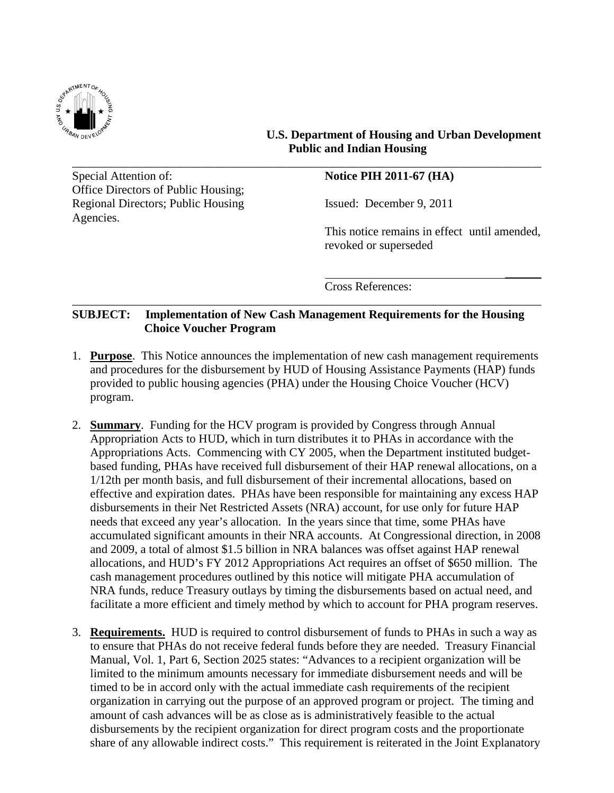

## **U.S. Department of Housing and Urban Development Public and Indian Housing**

Special Attention of: **Notice PIH 2011-67 (HA)** Office Directors of Public Housing; Regional Directors; Public Housing Issued: December 9, 2011 Agencies.

This notice remains in effect until amended, revoked or superseded

 $\overline{\phantom{a}}$ 

Cross References:

## **SUBJECT: Implementation of New Cash Management Requirements for the Housing Choice Voucher Program**

\_\_\_\_\_\_\_\_\_\_\_\_\_\_\_\_\_\_\_\_\_\_\_\_\_\_\_\_\_\_\_\_\_\_\_\_\_\_\_\_\_\_\_\_\_\_\_\_\_\_\_\_\_\_\_\_\_\_\_\_\_\_\_\_\_\_\_\_\_\_\_\_\_\_\_\_\_\_

\_\_\_\_\_\_\_\_\_\_\_\_\_\_\_\_\_\_\_\_\_\_\_\_\_\_\_\_\_\_\_\_\_\_\_\_\_\_\_\_\_\_\_\_\_\_\_\_\_\_\_\_\_\_\_\_\_\_\_\_\_\_\_\_\_\_\_\_\_\_\_\_\_\_\_\_\_\_

- 1. **Purpose**. This Notice announces the implementation of new cash management requirements and procedures for the disbursement by HUD of Housing Assistance Payments (HAP) funds provided to public housing agencies (PHA) under the Housing Choice Voucher (HCV) program.
- 2. **Summary**. Funding for the HCV program is provided by Congress through Annual Appropriation Acts to HUD, which in turn distributes it to PHAs in accordance with the Appropriations Acts. Commencing with CY 2005, when the Department instituted budgetbased funding, PHAs have received full disbursement of their HAP renewal allocations, on a 1/12th per month basis, and full disbursement of their incremental allocations, based on effective and expiration dates. PHAs have been responsible for maintaining any excess HAP disbursements in their Net Restricted Assets (NRA) account, for use only for future HAP needs that exceed any year's allocation. In the years since that time, some PHAs have accumulated significant amounts in their NRA accounts. At Congressional direction, in 2008 and 2009, a total of almost \$1.5 billion in NRA balances was offset against HAP renewal allocations, and HUD's FY 2012 Appropriations Act requires an offset of \$650 million. The cash management procedures outlined by this notice will mitigate PHA accumulation of NRA funds, reduce Treasury outlays by timing the disbursements based on actual need, and facilitate a more efficient and timely method by which to account for PHA program reserves.
- 3. **Requirements.** HUD is required to control disbursement of funds to PHAs in such a way as to ensure that PHAs do not receive federal funds before they are needed. Treasury Financial Manual, Vol. 1, Part 6, Section 2025 states: "Advances to a recipient organization will be limited to the minimum amounts necessary for immediate disbursement needs and will be timed to be in accord only with the actual immediate cash requirements of the recipient organization in carrying out the purpose of an approved program or project. The timing and amount of cash advances will be as close as is administratively feasible to the actual disbursements by the recipient organization for direct program costs and the proportionate share of any allowable indirect costs." This requirement is reiterated in the Joint Explanatory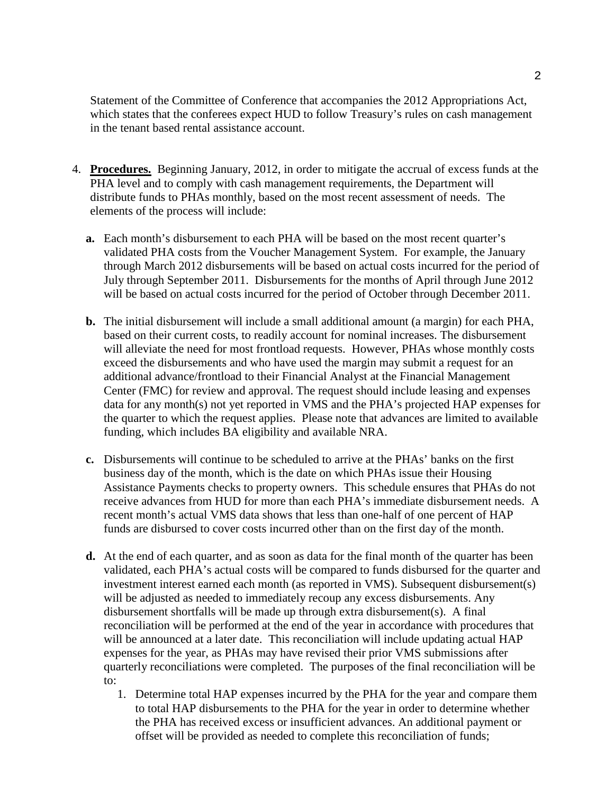Statement of the Committee of Conference that accompanies the 2012 Appropriations Act, which states that the conferees expect HUD to follow Treasury's rules on cash management in the tenant based rental assistance account.

- 4. **Procedures.** Beginning January, 2012, in order to mitigate the accrual of excess funds at the PHA level and to comply with cash management requirements, the Department will distribute funds to PHAs monthly, based on the most recent assessment of needs. The elements of the process will include:
	- **a.** Each month's disbursement to each PHA will be based on the most recent quarter's validated PHA costs from the Voucher Management System. For example, the January through March 2012 disbursements will be based on actual costs incurred for the period of July through September 2011. Disbursements for the months of April through June 2012 will be based on actual costs incurred for the period of October through December 2011.
	- **b.** The initial disbursement will include a small additional amount (a margin) for each PHA, based on their current costs, to readily account for nominal increases. The disbursement will alleviate the need for most frontload requests. However, PHAs whose monthly costs exceed the disbursements and who have used the margin may submit a request for an additional advance/frontload to their Financial Analyst at the Financial Management Center (FMC) for review and approval. The request should include leasing and expenses data for any month(s) not yet reported in VMS and the PHA's projected HAP expenses for the quarter to which the request applies. Please note that advances are limited to available funding, which includes BA eligibility and available NRA.
	- **c.** Disbursements will continue to be scheduled to arrive at the PHAs' banks on the first business day of the month, which is the date on which PHAs issue their Housing Assistance Payments checks to property owners. This schedule ensures that PHAs do not receive advances from HUD for more than each PHA's immediate disbursement needs. A recent month's actual VMS data shows that less than one-half of one percent of HAP funds are disbursed to cover costs incurred other than on the first day of the month.
	- **d.** At the end of each quarter, and as soon as data for the final month of the quarter has been validated, each PHA's actual costs will be compared to funds disbursed for the quarter and investment interest earned each month (as reported in VMS). Subsequent disbursement(s) will be adjusted as needed to immediately recoup any excess disbursements. Any disbursement shortfalls will be made up through extra disbursement(s). A final reconciliation will be performed at the end of the year in accordance with procedures that will be announced at a later date. This reconciliation will include updating actual HAP expenses for the year, as PHAs may have revised their prior VMS submissions after quarterly reconciliations were completed. The purposes of the final reconciliation will be to:
		- 1. Determine total HAP expenses incurred by the PHA for the year and compare them to total HAP disbursements to the PHA for the year in order to determine whether the PHA has received excess or insufficient advances. An additional payment or offset will be provided as needed to complete this reconciliation of funds;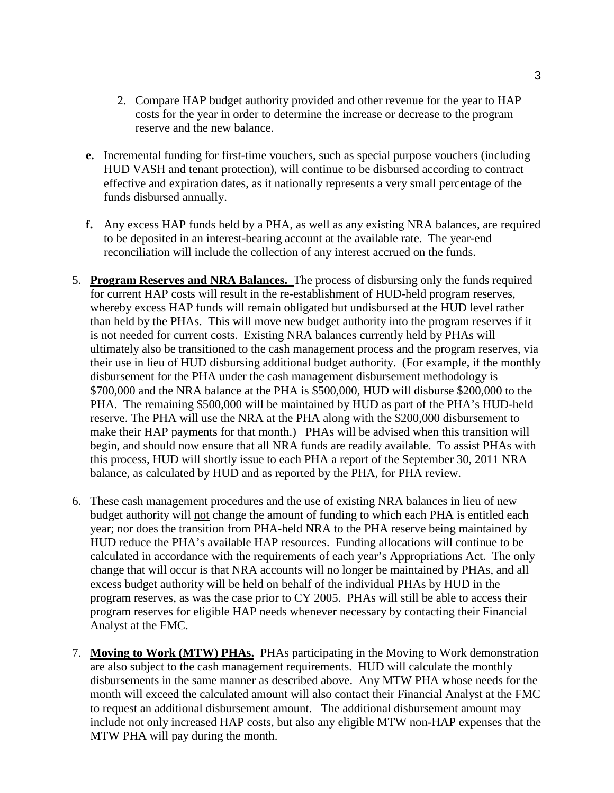- 2. Compare HAP budget authority provided and other revenue for the year to HAP costs for the year in order to determine the increase or decrease to the program reserve and the new balance.
- **e.** Incremental funding for first-time vouchers, such as special purpose vouchers (including HUD VASH and tenant protection), will continue to be disbursed according to contract effective and expiration dates, as it nationally represents a very small percentage of the funds disbursed annually.
- **f.** Any excess HAP funds held by a PHA, as well as any existing NRA balances, are required to be deposited in an interest-bearing account at the available rate. The year-end reconciliation will include the collection of any interest accrued on the funds.
- 5. **Program Reserves and NRA Balances.** The process of disbursing only the funds required for current HAP costs will result in the re-establishment of HUD-held program reserves, whereby excess HAP funds will remain obligated but undisbursed at the HUD level rather than held by the PHAs. This will move new budget authority into the program reserves if it is not needed for current costs. Existing NRA balances currently held by PHAs will ultimately also be transitioned to the cash management process and the program reserves, via their use in lieu of HUD disbursing additional budget authority. (For example, if the monthly disbursement for the PHA under the cash management disbursement methodology is \$700,000 and the NRA balance at the PHA is \$500,000, HUD will disburse \$200,000 to the PHA. The remaining \$500,000 will be maintained by HUD as part of the PHA's HUD-held reserve. The PHA will use the NRA at the PHA along with the \$200,000 disbursement to make their HAP payments for that month.) PHAs will be advised when this transition will begin, and should now ensure that all NRA funds are readily available. To assist PHAs with this process, HUD will shortly issue to each PHA a report of the September 30, 2011 NRA balance, as calculated by HUD and as reported by the PHA, for PHA review.
- 6. These cash management procedures and the use of existing NRA balances in lieu of new budget authority will not change the amount of funding to which each PHA is entitled each year; nor does the transition from PHA-held NRA to the PHA reserve being maintained by HUD reduce the PHA's available HAP resources. Funding allocations will continue to be calculated in accordance with the requirements of each year's Appropriations Act. The only change that will occur is that NRA accounts will no longer be maintained by PHAs, and all excess budget authority will be held on behalf of the individual PHAs by HUD in the program reserves, as was the case prior to CY 2005. PHAs will still be able to access their program reserves for eligible HAP needs whenever necessary by contacting their Financial Analyst at the FMC.
- 7. **Moving to Work (MTW) PHAs.** PHAs participating in the Moving to Work demonstration are also subject to the cash management requirements. HUD will calculate the monthly disbursements in the same manner as described above. Any MTW PHA whose needs for the month will exceed the calculated amount will also contact their Financial Analyst at the FMC to request an additional disbursement amount. The additional disbursement amount may include not only increased HAP costs, but also any eligible MTW non-HAP expenses that the MTW PHA will pay during the month.